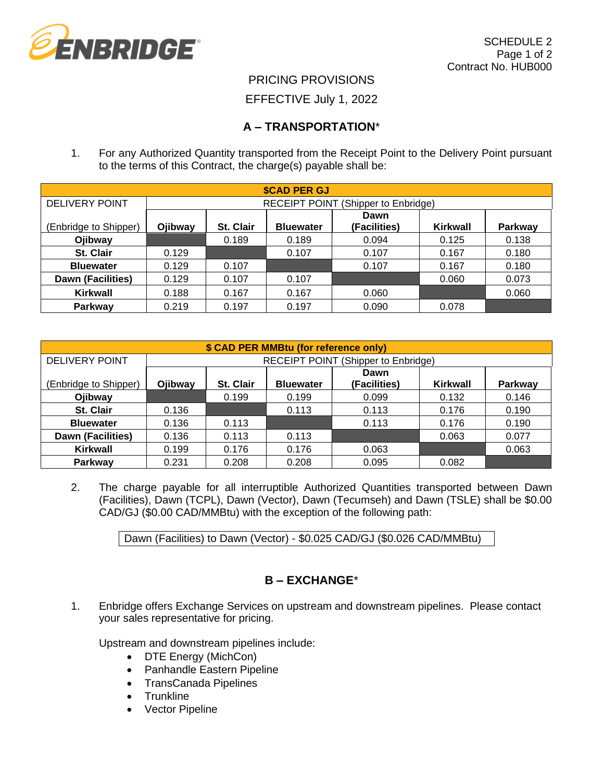

### PRICING PROVISIONS

#### EFFECTIVE July 1, 2022

### **A – TRANSPORTATION**\*

1. For any Authorized Quantity transported from the Receipt Point to the Delivery Point pursuant to the terms of this Contract, the charge(s) payable shall be:

| <b><i>SCAD PER GJ</i></b> |                                     |           |                  |              |          |                |
|---------------------------|-------------------------------------|-----------|------------------|--------------|----------|----------------|
| <b>DELIVERY POINT</b>     | RECEIPT POINT (Shipper to Enbridge) |           |                  |              |          |                |
|                           |                                     |           |                  | Dawn         |          |                |
| (Enbridge to Shipper)     | Ojibway                             | St. Clair | <b>Bluewater</b> | (Facilities) | Kirkwall | <b>Parkway</b> |
| Ojibway                   |                                     | 0.189     | 0.189            | 0.094        | 0.125    | 0.138          |
| St. Clair                 | 0.129                               |           | 0.107            | 0.107        | 0.167    | 0.180          |
| <b>Bluewater</b>          | 0.129                               | 0.107     |                  | 0.107        | 0.167    | 0.180          |
| <b>Dawn (Facilities)</b>  | 0.129                               | 0.107     | 0.107            |              | 0.060    | 0.073          |
| <b>Kirkwall</b>           | 0.188                               | 0.167     | 0.167            | 0.060        |          | 0.060          |
| Parkway                   | 0.219                               | 0.197     | 0.197            | 0.090        | 0.078    |                |

| \$ CAD PER MMBtu (for reference only) |                                            |                  |                  |                      |          |                |
|---------------------------------------|--------------------------------------------|------------------|------------------|----------------------|----------|----------------|
| DELIVERY POINT                        | <b>RECEIPT POINT (Shipper to Enbridge)</b> |                  |                  |                      |          |                |
| (Enbridge to Shipper)                 | Ojibway                                    | <b>St. Clair</b> | <b>Bluewater</b> | Dawn<br>(Facilities) | Kirkwall | <b>Parkway</b> |
| Ojibway                               |                                            | 0.199            | 0.199            | 0.099                | 0.132    | 0.146          |
| St. Clair                             | 0.136                                      |                  | 0.113            | 0.113                | 0.176    | 0.190          |
| <b>Bluewater</b>                      | 0.136                                      | 0.113            |                  | 0.113                | 0.176    | 0.190          |
| Dawn (Facilities)                     | 0.136                                      | 0.113            | 0.113            |                      | 0.063    | 0.077          |
| <b>Kirkwall</b>                       | 0.199                                      | 0.176            | 0.176            | 0.063                |          | 0.063          |
| Parkway                               | 0.231                                      | 0.208            | 0.208            | 0.095                | 0.082    |                |

2. The charge payable for all interruptible Authorized Quantities transported between Dawn (Facilities), Dawn (TCPL), Dawn (Vector), Dawn (Tecumseh) and Dawn (TSLE) shall be \$0.00 CAD/GJ (\$0.00 CAD/MMBtu) with the exception of the following path:

Dawn (Facilities) to Dawn (Vector) - \$0.025 CAD/GJ (\$0.026 CAD/MMBtu)

# **B – EXCHANGE**\*

1. Enbridge offers Exchange Services on upstream and downstream pipelines. Please contact your sales representative for pricing.

Upstream and downstream pipelines include:

- DTE Energy (MichCon)
- Panhandle Eastern Pipeline
- TransCanada Pipelines
- Trunkline
- **Vector Pipeline**